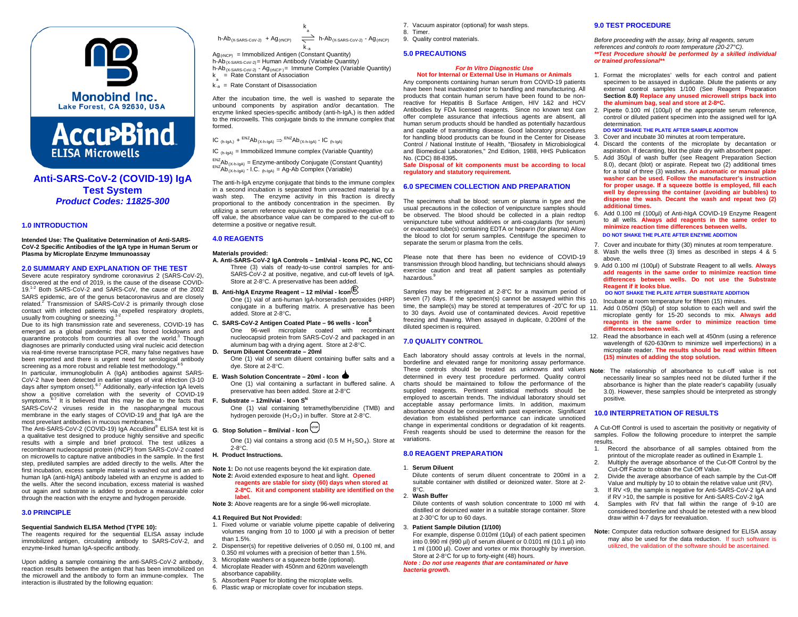



# **Anti-SARS-CoV-2 (COVID-19) IgA Test System** *Product Codes: 11825-300*

# **1.0 INTRODUCTION**

**Intended Use: The Qualitative Determination of Anti-SARS-CoV-2 Specific Antibodies of the IgA type in Human Serum or Plasma by Microplate Enzyme Immunoassay**

## **2.0 SUMMARY AND EXPLANATION OF THE TEST**

Severe acute respiratory syndrome coronavirus 2 (SARS-CoV-2), discovered at the end of 2019, is the cause of the disease COVID-19.<sup>1-2</sup> Both SARS-CoV-2 and SARS-CoV, the cause of the 2002 SARS epidemic, are of the genus betacoronavirus and are closely related.<sup>2</sup> Transmission of SARS-CoV-2 is primarily through close contact with infected patients via expelled respiratory droplets, usually from coughing or sneezing.<sup>1</sup>

Due to its high transmission rate and severeness, COVID-19 has emerged as a global pandemic that has forced lockdowns and quarantine protocols from countries all over the world.<sup>3</sup> Though diagnoses are primarily conducted using viral nucleic acid detection via real-time reverse transcriptase PCR, many false negatives have been reported and there is urgent need for serological antibody screening as a more robust and reliable test methodology. 4-5

In particular, immunoglobulin A (IgA) antibodies against SARS-CoV-2 have been detected in earlier stages of viral infection (3-10 days after symptom onset).<sup>6-7</sup> Additionally, early-infection IgA levels show a positive correlation with the severity of COVID-19 symptoms.<sup>6-7</sup> It is believed that this may be due to the facts that SARS-CoV-2 viruses reside in the nasopharyngeal mucous membrane in the early stages of COVID-19 and that IgA are the most prevelant antibodies in mucous membranes. 6-8

The Anti-SARS-CoV-2 (COVID-19) IgA AccuBind® ELISA test kit is a qualitative test designed to produce highly sensitive and specific results with a simple and brief protocol. The test utilizes a recombinant nucleocapsid protein (rNCP) from SARS-CoV-2 coated on microwells to capture native antibodies in the sample. In the first step, prediluted samples are added directly to the wells. After the first incubation, excess sample material is washed out and an antihuman IgA (anti-hIgA) antibody labeled with an enzyme is added to the wells. After the second incubation, excess material is washed out again and substrate is added to produce a measurable color through the reaction with the enzyme and hydrogen peroxide.

# **3.0 PRINCIPLE**

## **Sequential Sandwich ELISA Method (TYPE 10):**

The reagents required for the sequential ELISA assay include immobilized antigen, circulating antibody to SARS-CoV-2, and enzyme-linked human IgA-specific antibody.

Upon adding a sample containing the anti-SARS-CoV-2 antibody, reaction results between the antigen that has been immobilized on the microwell and the antibody to form an immune-complex. The interaction is illustrated by the following equation:

k  $h\text{-}Ab_{(X\text{-SARS-CoV-2)}} + Ag_{(rNCP)} \quad \overset{a}{\Longrightarrow} \quad h\text{-}Ab_{(X\text{-SARS-CoV-2})} \cdot Ag_{(rNCP)}$ k-a

 $Ag<sub>(rNCP)</sub>$  = Immobilized Antigen (Constant Quantity) h-Ab(X-SARS-CoV-2)= Human Antibody (Variable Quantity) h-Ab $_{(X-SARS-CoV-2)}$  - Ag $_{(tNCP)}$  = Immune Complex (Variable Quantity) k = Rate Constant of Association

 $k_{-a}^a$  = Rate Constant of Disassociation

After the incubation time, the well is washed to separate the unbound components by aspiration and/or decantation. The enzyme linked species-specific antibody (anti-h-IgA,) is then added to the microwells. This conjugate binds to the immune complex that formed.

IC (h-IgA,) + ENZAb(X-h-IgA) ⇒ ENZAb(X-h-IgA) - IC (h-IgA)

 $IC_{(h-lqA)} =$  Immobilized Immune complex (Variable Quantity)

 ${}^{\text{ENZ}}\text{Ab}_{(X\text{-}h\text{-}IgA)} = \text{Enzyme-antibody Conjugate (Constant Quantity)}$ <br>  ${}^{\text{ENZ}}\text{Ab}_{(X\text{-}h\text{-}IgA)}$  - I.C.  ${}^{\text{HnZ}}\text{Ab}$  Complex (Variable)

The anti-h-IgA enzyme conjugate that binds to the immune complex in a second incubation is separated from unreacted material by a wash step. The enzyme activity in this fraction is directly proportional to the antibody concentration in the specimen. By utilizing a serum reference equivalent to the positive-negative cutoff value, the absorbance value can be compared to the cut-off to determine a positive or negative result.

# **4.0 REAGENTS**

#### **Materials provided:**

- **A. Anti-SARS-CoV-2 IgA Controls – 1ml/vial - Icons PC, NC, CC** Three (3) vials of ready-to-use control samples for anti-SARS-CoV-2 at positive, negative, and cut-off levels of IgA. Store at 2-8°C. A preservative has been added.
- **B. Anti-hIgA Enzyme Reagent – <sup>12</sup> ml/vial - Icon <sup>E</sup>** One (1) vial of anti-human IgA-horseradish peroxides (HRP) conjugate in a buffering matrix. A preservative has been added. Store at 2-8°C**.**
- **C. SARS-CoV-2 Antigen Coated Plate – 96 wells - Icon**⇓ One 96-well microplate coated with recombinant nucleocapsid protein from SARS-CoV-2 and packaged in an aluminum bag with a drying agent. Store at 2-8°C.
- **D. Serum Diluent Concentrate – 20ml**  One (1) vial of serum diluent containing buffer salts and a dye. Store at 2-8°C.
- **E. Wash Solution Concentrate – 20ml - Icon**

One (1) vial containing a surfactant in buffered saline. A preservative has been added. Store at 2-8°C

**F.** Substrate – 12ml/vial - Icon S<sup>N</sup>

One (1) vial containing tetramethylbenzidine (TMB) and hydrogen peroxide  $(H_2O_2)$  in buffer. Store at 2-8°C.

# **G**. Stop Solution – 8ml/vial - Icon  $\sum_{n=1}^{\text{tree}}$

One (1) vial contains a strong acid (0.5 M  $H<sub>2</sub>SO<sub>4</sub>$ ). Store at 2-8°C.

# **H. Product Instructions.**

**Note 1:** Do not use reagents beyond the kit expiration date. **Note 2:** Avoid extended exposure to heat and light. **Opened reagents are stable for sixty (60) days when stored at 2-8**°**C. Kit and component stability are identified on the label.** 

**Note 3:** Above reagents are for a single 96-well microplate.

#### **4.1 Required But Not Provided:**

- 1. Fixed volume or variable volume pipette capable of delivering volumes ranging from 10 to 1000 µl with a precision of better than 1.5%.
- 2. Dispenser(s) for repetitive deliveries of 0.050 ml, 0.100 ml, and 0.350 ml volumes with a precision of better than 1.5%.
- 3. Microplate washers or a squeeze bottle (optional).<br>4. Microplate Reader with 450pm and 620pm wavele
- Microplate Reader with 450nm and 620nm wavelength absorbance capability.
- Absorbent Paper for blotting the microplate wells.
- 6. Plastic wrap or microplate cover for incubation steps.
- 7. Vacuum aspirator (optional) for wash steps.
- 8. Timer.
- 9. Quality control materials.

# **5.0 PRECAUTIONS**

#### *For In Vitro Diagnostic Use* **Not for Internal or External Use in Humans or Animals**

Any components containing human serum from COVID-19 patients have been heat inactivated prior to handling and manufacturing. All products that contain human serum have been found to be nonreactive for Hepatitis B Surface Antigen, HIV 1&2 and HCV Antibodies by FDA licensed reagents. Since no known test can offer complete assurance that infectious agents are absent, all human serum products should be handled as potentially hazardous and capable of transmitting disease. Good laboratory procedures for handling blood products can be found in the Center for Disease Control / National Institute of Health, "Biosafety in Microbiological and Biomedical Laboratories," 2nd Edition, 1988, HHS Publication No. (CDC) 88-8395**.**

**Safe Disposal of kit components must be according to local regulatory and statutory requirement.**

## **6.0 SPECIMEN COLLECTION AND PREPARATION**

The specimens shall be blood; serum or plasma in type and the usual precautions in the collection of venipuncture samples should be observed. The blood should be collected in a plain redtop venipuncture tube without additives or anti-coagulants (for serum) or evacuated tube(s) containing EDTA or heparin (for plasma) Allow the blood to clot for serum samples. Centrifuge the specimen to separate the serum or plasma from the cells.

Please note that there has been no evidence of COVID-19 transmission through blood handling, but technicians should always exercise caution and treat all patient samples as potentially hazardous

Samples may be refrigerated at 2-8°C for a maximum period of seven (7) days. If the specimen(s) cannot be assayed within this  $_{10}$ time, the sample(s) may be stored at temperatures of -20°C for up to 30 days. Avoid use of contaminated devices. Avoid repetitive freezing and thawing. When assayed in duplicate, 0.200ml of the diluted specimen is required.

## **7.0 QUALITY CONTROL**

Each laboratory should assay controls at levels in the normal, borderline and elevated range for monitoring assay performance. These controls should be treated as unknowns and values **Note**: The relationship of absorbance to cut-off value is not determined in every test procedure performed. Quality control charts should be maintained to follow the performance of the supplied reagents. Pertinent statistical methods should be employed to ascertain trends. The individual laboratory should set acceptable assay performance limits. In addition, maximum absorbance should be consistent with past experience. Significant deviation from established performance can indicate unnoticed change in experimental conditions or degradation of kit reagents. Fresh reagents should be used to determine the reason for the variations.

## **8.0 REAGENT PREPARATION**

#### 1. **Serum Diluent**

Dilute contents of serum diluent concentrate to 200ml in a suitable container with distilled or deionized water. Store at 2- 8°C.

### 2. **Wash Buffer**

Dilute contents of wash solution concentrate to 1000 ml with distilled or deionized water in a suitable storage container. Store at 2-30°C for up to 60 days.

# 3. **Patient Sample Dilution (1/100)**

For example, dispense 0.010ml (10µl) of each patient specimen into 0.990 ml (990 µl) of serum diluent or 0.0101 ml (10.1 µl) into 1 ml (1000 µl). Cover and vortex or mix thoroughly by inversion. Store at 2-8°C for up to forty-eight (48) hours.

*Note : Do not use reagents that are contaminated or have bacteria growth.*

# **9.0 TEST PROCEDURE**

*Before proceeding with the assay, bring all reagents, serum references and controls to room temperature (20-27°C). \*\*Test Procedure should be performed by a skilled individual or trained professional\*\**

1. Format the microplates' wells for each control and patient specimen to be assayed in duplicate. Dilute the patients or any external control samples 1/100 (See Reagent Preparation **Section 8.0) Replace any unused microwell strips back into the aluminum bag, seal and store at 2-8**°**C.**

2. Pipette 0.100 ml (100µl) of the appropriate serum reference, control or diluted patient specimen into the assigned well for IgA determination.

#### **DO NOT SHAKE THE PLATE AFTER SAMPLE ADDITION** 3. Cover and incubate 30 minutes at room temperature**.**

- 4. Discard the contents of the microplate by decantation or aspiration. If decanting, blot the plate dry with absorbent paper.
- 5. Add 350µl of wash buffer (see Reagent Preparation Section 8.0), decant (blot) or aspirate. Repeat two (2) additional times for a total of three (3) washes. **An automatic or manual plate washer can be used. Follow the manufacturer's instruction for proper usage. If a squeeze bottle is employed, fill each well by depressing the container (avoiding air bubbles) to dispense the wash. Decant the wash and repeat two (2) additional times.**
- 6. Add 0.100 ml (100µl) of Anti-hIgA COVID-19 Enzyme Reagent to all wells. **Always add reagents in the same order to minimize reaction time differences between wells. DO NOT SHAKE THE PLATE AFTER ENZYME ADDITION**

- 7. Cover and incubate for thirty (30) minutes at room temperature. 8. Wash the wells three (3) times as described in steps 4 & 5 above.
- 9. Add 0.100 ml (100µl) of Substrate Reagent to all wells. **Always add reagents in the same order to minimize reaction time differences between wells. Do not use the Substrate Reagent if it looks blue. DO NOT SHAKE THE PLATE AFTER SUBSTRATE ADDITION**
- Incubate at room temperature for fifteen (15) minutes.
- Add 0.050ml (50µl) of stop solution to each well and swirl the microplate gently for 15-20 seconds to mix. **Always add reagents in the same order to minimize reaction time differences between wells.**
- 12. Read the absorbance in each well at 450nm (using a reference wavelength of 620-630nm to minimize well imperfections) in a microplate reader. **The results should be read within fifteen (15) minutes of adding the stop solution.**
- necessarily linear so samples need not be diluted further if the absorbance is higher than the plate reader's capability (usually 3.0). However, these samples should be interpreted as strongly positive.

## **10.0 INTERPRETATION OF RESULTS**

A Cut-Off Control is used to ascertain the positivity or negativity of samples. Follow the following procedure to interpret the sample results.

- 1. Record the absorbance of all samples obtained from the printout of the microplate reader as outlined in Example 1.
- 2. Multiply the average absorbance of the Cut-Off Control by the Cut-Off Factor to obtain the Cut-Off Value.
- 2. Divide the average absorbance of each sample by the Cut-Off Value and multiply by 10 to obtain the relative value unit (RV).
- 3. If RV <9, the sample is negative for Anti-SARS-CoV-2 IgA and if RV >10, the sample is positive for Anti-SARS-CoV-2 IgA
- Samples with RV that fall within the range of 9-10 are considered borderline and should be retested with a new blood draw within 4-7 days for reevaluation.
- **Note:** Computer data reduction software designed for ELISA assay may also be used for the data reduction. If such software is utilized, the validation of the software should be ascertained.